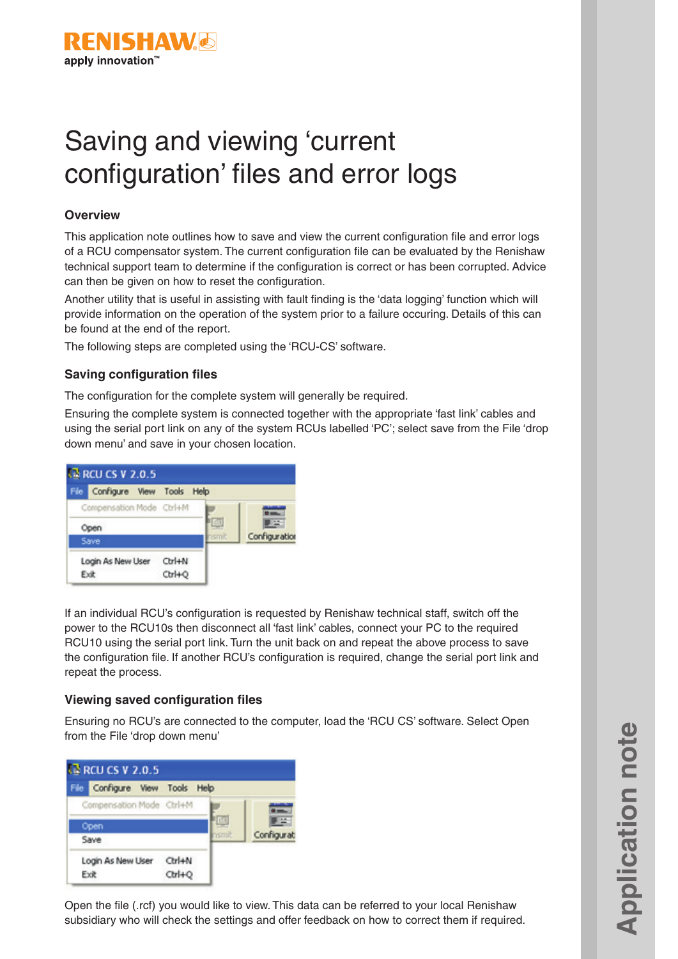

# Saving and viewing 'current configuration' files and error logs

## **Overview**

This application note outlines how to save and view the current configuration file and error logs of a RCU compensator system. The current configuration file can be evaluated by the Renishaw technical support team to determine if the configuration is correct or has been corrupted. Advice can then be given on how to reset the configuration.

Another utility that is useful in assisting with fault finding is the 'data logging' function which will provide information on the operation of the system prior to a failure occuring. Details of this can be found at the end of the report.

The following steps are completed using the 'RCU-CS' software.

## **Saving configuration files**

The configuration for the complete system will generally be required.

Ensuring the complete system is connected together with the appropriate 'fast link' cables and using the serial port link on any of the system RCUs labelled 'PC'; select save from the File 'drop down menu' and save in your chosen location.



If an individual RCU's configuration is requested by Renishaw technical staff, switch off the power to the RCU10s then disconnect all 'fast link' cables, connect your PC to the required RCU10 using the serial port link. Turn the unit back on and repeat the above process to save the configuration file. If another RCU's configuration is required, change the serial port link and repeat the process.

### **Viewing saved configuration files**

Ensuring no RCU's are connected to the computer, load the 'RCU CS' software. Select Open from the File 'drop down menu'



Open the file (.rcf) you would like to view. This data can be referred to your local Renishaw subsidiary who will check the settings and offer feedback on how to correct them if required.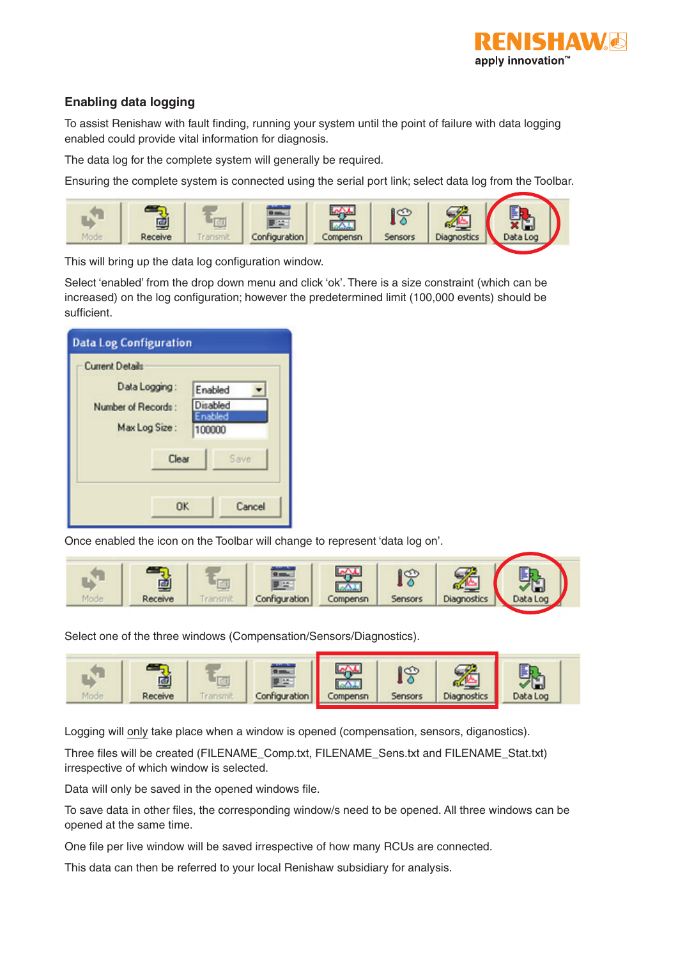

# **Enabling data logging**

To assist Renishaw with fault finding, running your system until the point of failure with data logging enabled could provide vital information for diagnosis.

The data log for the complete system will generally be required.

Ensuring the complete system is connected using the serial port link; select data log from the Toolbar.



This will bring up the data log configuration window.

Select 'enabled' from the drop down menu and click 'ok'. There is a size constraint (which can be increased) on the log configuration; however the predetermined limit (100,000 events) should be sufficient.

| <b>Data Log Configuration</b>                        |                                         |
|------------------------------------------------------|-----------------------------------------|
| <b>Current Details</b>                               |                                         |
| Data Logging:<br>Number of Records:<br>Max Log Size: | Enabled<br>Disabled<br>nabled<br>100000 |
| Clear                                                | Save                                    |
| OK                                                   | Cancel                                  |

Once enabled the icon on the Toolbar will change to represent 'data log on'.



Select one of the three windows (Compensation/Sensors/Diagnostics).



Logging will only take place when a window is opened (compensation, sensors, diganostics).

Three files will be created (FILENAME\_Comp.txt, FILENAME\_Sens.txt and FILENAME\_Stat.txt) irrespective of which window is selected.

Data will only be saved in the opened windows file.

To save data in other files, the corresponding window/s need to be opened. All three windows can be opened at the same time.

One file per live window will be saved irrespective of how many RCUs are connected.

This data can then be referred to your local Renishaw subsidiary for analysis.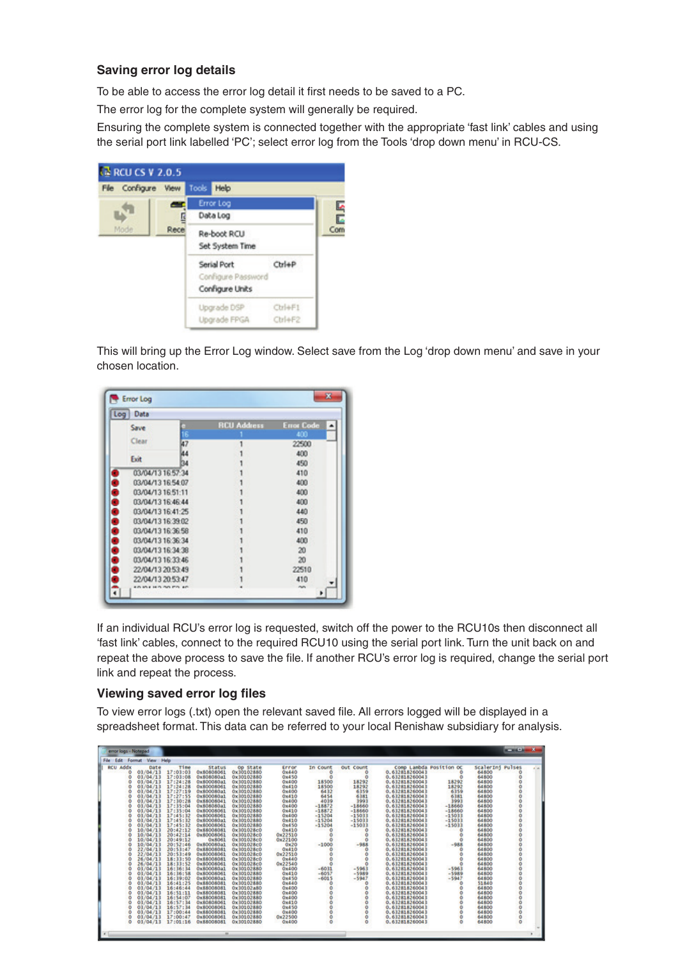## **Saving error log details**

To be able to access the error log detail it first needs to be saved to a PC.

The error log for the complete system will generally be required.

Ensuring the complete system is connected together with the appropriate 'fast link' cables and using the serial port link labelled 'PC'; select error log from the Tools 'drop down menu' in RCU-CS.



This will bring up the Error Log window. Select save from the Log 'drop down menu' and save in your chosen location.

| Data<br>Log       |                     |                    |                   |
|-------------------|---------------------|--------------------|-------------------|
| Save              |                     | <b>RCU Address</b> | <b>Error Code</b> |
|                   |                     |                    | 400               |
| Clear             | 47                  |                    | 22500             |
| Exit              | 44                  |                    | 400               |
|                   | в.                  |                    | 450               |
| 03/04/13 16:57:34 |                     |                    | 410               |
| 03/04/13 16:54:07 |                     |                    | 400               |
| 03/04/13 16:51:11 |                     |                    | 400               |
| 03/04/13 16:46:44 |                     |                    | 400               |
| 03/04/13 16:41:25 |                     |                    | 440               |
| 03/04/13 16:39:02 |                     |                    | 450               |
| 03/04/13 16:36:58 |                     |                    | 410               |
| 03/04/13 16:36:34 |                     |                    | 400               |
| 03/04/13 16:34:38 |                     |                    | 20                |
| 03/04/13 16:33:46 |                     |                    | 20                |
| 22/04/13 20:53:49 |                     |                    | 22510             |
| 22/04/13 20:53:47 |                     |                    | 410               |
|                   | se numero mini la m |                    | nun               |

If an individual RCU's error log is requested, switch off the power to the RCU10s then disconnect all 'fast link' cables, connect to the required RCU10 using the serial port link. Turn the unit back on and repeat the above process to save the file. If another RCU's error log is required, change the serial port link and repeat the process.

### **Viewing saved error log files**

To view error logs (.txt) open the relevant saved file. All errors logged will be displayed in a spreadsheet format. This data can be referred to your local Renishaw subsidiary for analysis.

| error logs - Notepad  |          |          |               |                 |         |               |                  |                         |          |                  | $-10$         |  |
|-----------------------|----------|----------|---------------|-----------------|---------|---------------|------------------|-------------------------|----------|------------------|---------------|--|
| File Edit Format View |          | Help     |               |                 |         |               |                  |                         |          |                  |               |  |
| <b>RCU Addx</b>       | Date     | Time     | <b>Status</b> | <b>Op State</b> | Error   | In Count      | <b>Out</b> Count | Comp Lambda Position OC |          | ScalerIni Pulses |               |  |
| ٥                     | 03/04/13 | 17:03:03 | 0x80808061    | 0x30102880      | 0x440   | ۰             | ٥                | 0.63281826004           | $\circ$  | 64800            | ō             |  |
| ō                     | 03/04/13 | 17:03:08 | 0x808080a1    | 0x30102880      | 0x450   | o             | $\circ$          | 0.632818260043          | $\circ$  | 64800            | ٥             |  |
| ٥                     | 03/04/13 | 17:24:28 | 0x800080a1    | 0x30102880      | 0x400   | 18500         | 18292            | 0.632818260043          | 18292    | 64800            |               |  |
| Ö                     | 03/04/13 | 17:24:28 | 0x80008061    | 0x30102880      | 0x410   | 18500<br>6432 | 18292            | 0.632818260043          | 18292    | 64800            |               |  |
| o                     | 03/04/13 | 17:27:19 | 0x800080a1    | 0x30102880      | 0x400   |               | 6359             | 0.632818260043          | 6359     | 64800            |               |  |
| ō                     | 03/04/13 | 17:27:55 | 0x800080a1    | 0x30102880      | 0x410   | 6454          | 6381             | 0.632818260043          | 6381     | 64800            |               |  |
| ٥                     | 03/04/13 | 17:30:28 | 0x88008041    | Ox 00102880     | 0x400   | 4039          | 3993             | 0.63281826004           | 3993     | 64800            |               |  |
| Ō                     | 03/04/13 | 17:35:04 | 0x808080a1    | 0x30102880      | 0x400   | $-18872$      | $-18660$         | 0.632818260043          | $-18660$ | 64800            |               |  |
| Ō                     | 03/04/13 | 17:35:04 | 0x80008061    | 0x30102880      | 0x410   | $-18872$      | $-18660$         | 0.632818260043          | $-18660$ | 64800            |               |  |
| ٥                     | 03/04/13 | 17:45:32 | 0x80008061    | 0x30102880      | 0x400   | $-15204$      | $-15033$         | 0.632818260043          | $-15033$ | 64800            |               |  |
| Ō                     | 03/04/13 | 17:45:32 | 0x800080a1    | 0x30102880      | 0x410   | $-15204$      | $-15033$         | 0.632818260043          | $-15033$ | 64800            |               |  |
| ō                     | 03/04/13 | 17:45:32 | 0x80008061    | 0x30102880      | 0x450   | $-15204$      | $-15033$         | 0.632818260043          | $-15033$ | 64800            |               |  |
| ö                     | 10/04/13 | 20:42:12 | 0x88008081    | 0x301028c0      | 0x410   | $\circ$       | $\circ$          | 0.632818260043          | $\circ$  | 64800            |               |  |
| Ŏ                     | 10/04/13 | 20142114 | 0x80008061    | 0x301028c0      | 0x22510 | ٥             | Ò                | 0.632818260043          |          | 64800            |               |  |
| Ō                     | 10/04/13 | 20:49:12 | 0x8061        | 0x301028c0      | 0x22100 |               | $\circ$          | 0.632818260043          |          | 64800            |               |  |
| ٥                     | 10/04/13 | 20:52:46 | 0x800080a1    | 0x301028c0      | 0x20    | $-1000$       | $-988$           | 0.632818260043          | $-988$   | 64800            |               |  |
| ٥                     | 22/04/13 | 20:53:47 | 0x88008081    | 0x301028c0      | 0x410   |               |                  | 0.63281826004           | Ó        | 64800            |               |  |
| Ō                     | 22/04/13 | 20:53:49 | 0x80008061    | 0x301028c0      | 0x22510 |               | $\circ$          | 0.632818260043          |          | 64800            |               |  |
| ٥                     | 26/04/13 | 18:33:50 | 0x88008081    | 0x301028c0      | 0x440   | ö             | $\circ$          | 0.632818260043          |          | 64800            |               |  |
| ö                     | 26/04/13 | 18:33:52 | 0x80008061    | 0x301028c0      | 0x22540 | ö             | Ó                | 0.632818260043          |          | 64800            |               |  |
| Ŏ                     | 03/04/13 | 16:36:34 | 0x800080a1    | 0x30102880      | 0x400   | $-6031$       | $-5963$          | 0.632818260043          | $-5963$  | 64800            |               |  |
| Ō                     | 03/04/13 | 16:36:58 | 0x80008061    | 0x30102880      | 0x410   | $-6057$       | $-5989$          | 0.632818260043          | $-5989$  | 64800            |               |  |
| ٥                     | 03/04/13 | 16:39:02 | 0x800080a1    | 0x30102880      | 0x450   | $-6015$       | $-5947$          | 0.632818260043          | $-5947$  | 64800            |               |  |
| ٥                     | 03/04/13 | 16:41:25 | 0x88008081    | 0x30102880      | 0x440   |               |                  | 0.63281826004           |          | 51840            |               |  |
| ٥                     | 03/04/13 | 16:46:44 | 0x88008081    | 0x30102a80      | 0x400   |               |                  | 0.632818260043          |          | 64800            |               |  |
| ٥                     | 03/04/13 | 16:51:11 | 0x88008081    | 0x30102880      | 0x400   | ö             |                  | 0.632818260043          |          | 64800            |               |  |
| ٥                     | 03/04/13 | 16:54:07 | 0x88008081    | 0x30102880      | 0x400   |               | ٥                | 0.63281826004           |          | 64800            |               |  |
| ō                     | 03/04/13 | 16:57:34 | 0x80808061    | 0x30102880      | 0x410   |               | o                | 0.632818260043          |          | 64800            |               |  |
| ٥                     | 03/04/13 | 16:57:34 | 0x80008061    | 0x30102880      | 0x450   |               | $\circ$          | 0.632818260043          |          | 64800            |               |  |
| Ö                     | 03/04/13 | 17:00:44 | 0x88008081    | 0x30102880      | 0x400   |               | Ò                | 0.63281826004           |          | 64800            |               |  |
| ٥                     | 03/04/13 | 17:00:47 | 0x80008061    | 0x30102880      | 0x22500 | $\frac{0}{0}$ | ٥                | 0.63281826004           |          | 64800            | $\frac{0}{0}$ |  |
| ō                     | 03/04/13 | 17:01:16 | 0x88008081    | 0x30102880      | 0x400   |               | $\circ$          | 0.632818260043          |          | 64800            |               |  |
|                       |          |          |               |                 |         |               |                  |                         |          |                  |               |  |
|                       |          |          | ۰             |                 |         |               |                  |                         |          |                  |               |  |